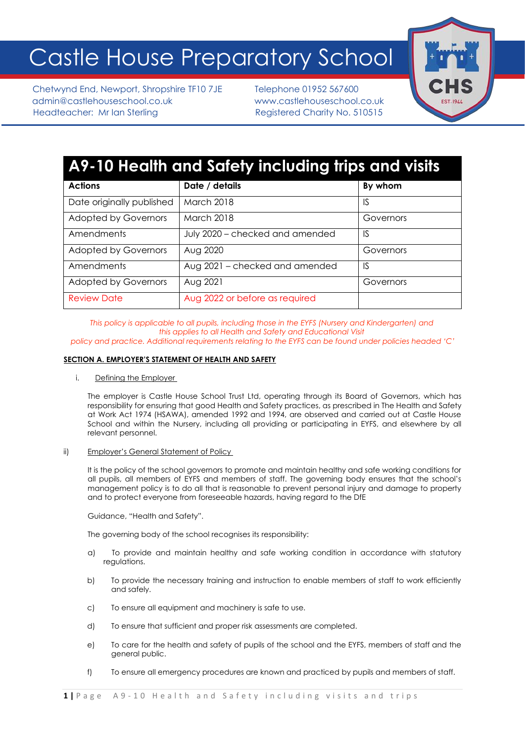# Castle House Preparatory School

Chetwynd End, Newport, Shropshire TF10 7JE Telephone 01952 567600 admin@castlehouseschool.co.uk www.castlehouseschool.co.uk Headteacher: Mr Ian Sterling Registered Charity No. 510515



# **A9-10 Health and Safety including trips and visits**

| <b>Actions</b>              | Date / details                  | By whom   |
|-----------------------------|---------------------------------|-----------|
| Date originally published   | March 2018                      | 1S        |
| <b>Adopted by Governors</b> | <b>March 2018</b>               | Governors |
| Amendments                  | July 2020 - checked and amended | 1S        |
| <b>Adopted by Governors</b> | Aug 2020                        | Governors |
| Amendments                  | Aug 2021 – checked and amended  | -IS       |
| <b>Adopted by Governors</b> | Aug 2021                        | Governors |
| <b>Review Date</b>          | Aug 2022 or before as required  |           |

*This policy is applicable to all pupils, including those in the EYFS (Nursery and Kindergarten) and this applies to all Health and Safety and Educational Visit*

*policy and practice. Additional requirements relating to the EYFS can be found under policies headed 'C'*

# **SECTION A. EMPLOYER'S STATEMENT OF HEALTH AND SAFETY**

#### i. Defining the Employer

The employer is Castle House School Trust Ltd, operating through its Board of Governors, which has responsibility for ensuring that good Health and Safety practices, as prescribed in The Health and Safety at Work Act 1974 (HSAWA), amended 1992 and 1994, are observed and carried out at Castle House School and within the Nursery, including all providing or participating in EYFS, and elsewhere by all relevant personnel.

#### ii) Employer's General Statement of Policy

It is the policy of the school governors to promote and maintain healthy and safe working conditions for all pupils, all members of EYFS and members of staff. The governing body ensures that the school's management policy is to do all that is reasonable to prevent personal injury and damage to property and to protect everyone from foreseeable hazards, having regard to the DfE

Guidance, "Health and Safety".

The governing body of the school recognises its responsibility:

- a) To provide and maintain healthy and safe working condition in accordance with statutory regulations.
- b) To provide the necessary training and instruction to enable members of staff to work efficiently and safely.
- c) To ensure all equipment and machinery is safe to use.
- d) To ensure that sufficient and proper risk assessments are completed.
- e) To care for the health and safety of pupils of the school and the EYFS, members of staff and the general public.
- f) To ensure all emergency procedures are known and practiced by pupils and members of staff.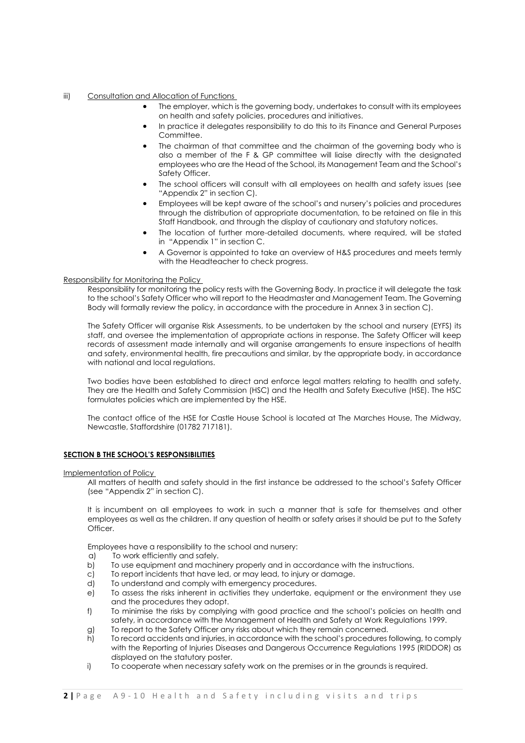#### iii) Consultation and Allocation of Functions

- The employer, which is the governing body, undertakes to consult with its employees on health and safety policies, procedures and initiatives.
- In practice it delegates responsibility to do this to its Finance and General Purposes Committee.
- The chairman of that committee and the chairman of the governing body who is also a member of the F & GP committee will liaise directly with the designated employees who are the Head of the School, its Management Team and the School's Safety Officer.
- The school officers will consult with all employees on health and safety issues (see "Appendix 2" in section C).
- Employees will be kept aware of the school's and nursery's policies and procedures through the distribution of appropriate documentation, to be retained on file in this Staff Handbook, and through the display of cautionary and statutory notices.
- The location of further more-detailed documents, where required, will be stated in "Appendix 1" in section C.
- A Governor is appointed to take an overview of H&S procedures and meets termly with the Headteacher to check progress.

#### Responsibility for Monitoring the Policy

Responsibility for monitoring the policy rests with the Governing Body. In practice it will delegate the task to the school's Safety Officer who will report to the Headmaster and Management Team. The Governing Body will formally review the policy, in accordance with the procedure in Annex 3 in section C).

The Safety Officer will organise Risk Assessments, to be undertaken by the school and nursery (EYFS) its staff, and oversee the implementation of appropriate actions in response. The Safety Officer will keep records of assessment made internally and will organise arrangements to ensure inspections of health and safety, environmental health, fire precautions and similar, by the appropriate body, in accordance with national and local regulations.

Two bodies have been established to direct and enforce legal matters relating to health and safety. They are the Health and Safety Commission (HSC) and the Health and Safety Executive (HSE). The HSC formulates policies which are implemented by the HSE.

The contact office of the HSE for Castle House School is located at The Marches House, The Midway, Newcastle, Staffordshire (01782 717181).

#### **SECTION B THE SCHOOL'S RESPONSIBILITIES**

Implementation of Policy

All matters of health and safety should in the first instance be addressed to the school's Safety Officer (see "Appendix 2" in section C).

It is incumbent on all employees to work in such a manner that is safe for themselves and other employees as well as the children. If any question of health or safety arises it should be put to the Safety Officer.

Employees have a responsibility to the school and nursery:

- a) To work efficiently and safely.
- b) To use equipment and machinery properly and in accordance with the instructions.
- c) To report incidents that have led, or may lead, to injury or damage.
- d) To understand and comply with emergency procedures.
- e) To assess the risks inherent in activities they undertake, equipment or the environment they use and the procedures they adopt.
- f) To minimise the risks by complying with good practice and the school's policies on health and safety, in accordance with the Management of Health and Safety at Work Regulations 1999.
- g) To report to the Safety Officer any risks about which they remain concerned.
- h) To record accidents and injuries, in accordance with the school's procedures following, to comply with the Reporting of Injuries Diseases and Dangerous Occurrence Regulations 1995 (RIDDOR) as displayed on the statutory poster.
- i) To cooperate when necessary safety work on the premises or in the grounds is required.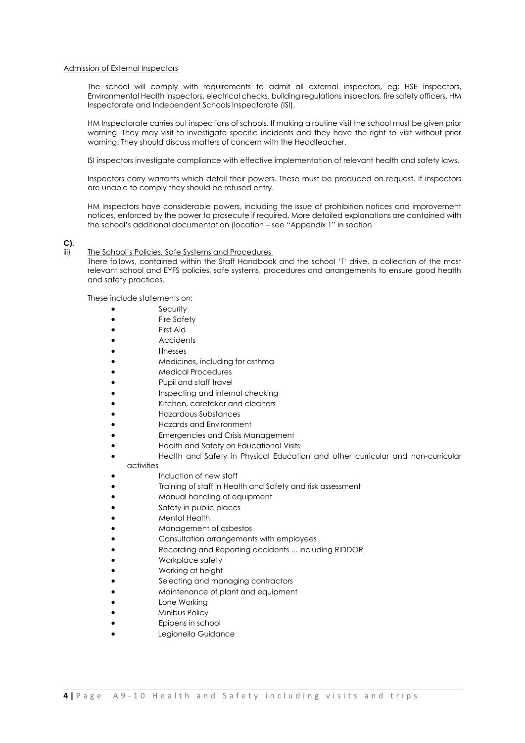#### Admission of External Inspectors

The school will comply with requirements to admit all external inspectors, eg: HSE inspectors, Environmental Health inspectors, electrical checks, building regulations inspectors, fire safety officers, HM Inspectorate and Independent Schools Inspectorate (ISI).

HM Inspectorate carries out inspections of schools. If making a routine visit the school must be given prior warning. They may visit to investigate specific incidents and they have the right to visit without prior warning. They should discuss matters of concern with the Headteacher.

ISI inspectors investigate compliance with effective implementation of relevant health and safety laws.

Inspectors carry warrants which detail their powers. These must be produced on request. If inspectors are unable to comply they should be refused entry.

HM Inspectors have considerable powers, including the issue of prohibition notices and improvement notices, enforced by the power to prosecute if required. More detailed explanations are contained with the school's additional documentation (location – see "Appendix 1" in section

**C).**

#### iii) The School's Policies, Safe Systems and Procedures

There follows, contained within the Staff Handbook and the school 'T' drive, a collection of the most relevant school and EYFS policies, safe systems, procedures and arrangements to ensure good health and safety practices.

These include statements on:

- **Security**
- Fire Safety
- First Aid
- Accidents
- Illnesses
- Medicines, including for asthma
- Medical Procedures
- Pupil and staff travel
- Inspecting and internal checking
- Kitchen, caretaker and cleaners
- Hazardous Substances
- Hazards and Environment
- Emergencies and Crisis Management
- Health and Safety on Educational Visits
- Health and Safety in Physical Education and other curricular and non-curricular activities
- Induction of new staff
- Training of staff in Health and Safety and risk assessment
- Manual handling of equipment
- Safety in public places
- Mental Health
- Management of asbestos
- Consultation arrangements with employees
- Recording and Reporting accidents ... including RIDDOR
- Workplace safety
- Working at height
- Selecting and managing contractors
- Maintenance of plant and equipment
- Lone Working
- Minibus Policy
- Epipens in school
- Legionella Guidance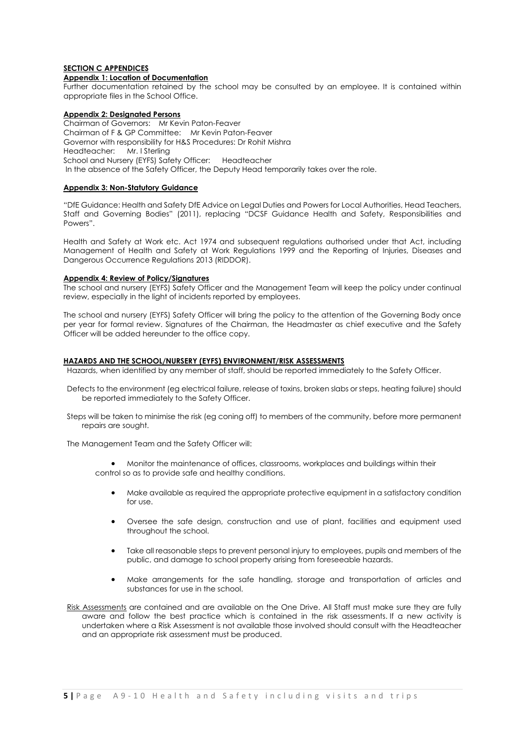# **SECTION C APPENDICES**

#### **Appendix 1: Location of Documentation**

Further documentation retained by the school may be consulted by an employee. It is contained within appropriate files in the School Office.

#### **Appendix 2: Designated Persons**

Chairman of Governors: Mr Kevin Paton-Feaver Chairman of F & GP Committee: Mr Kevin Paton-Feaver Governor with responsibility for H&S Procedures: Dr Rohit Mishra Headteacher: Mr. I Sterling School and Nursery (EYFS) Safety Officer: Headteacher In the absence of the Safety Officer, the Deputy Head temporarily takes over the role.

# **Appendix 3: Non-Statutory Guidance**

"DfE Guidance: Health and Safety DfE Advice on Legal Duties and Powers for Local Authorities, Head Teachers, Staff and Governing Bodies" (2011), replacing "DCSF Guidance Health and Safety, Responsibilities and Powers".

Health and Safety at Work etc. Act 1974 and subsequent regulations authorised under that Act, including Management of Health and Safety at Work Regulations 1999 and the Reporting of Injuries, Diseases and Dangerous Occurrence Regulations 2013 (RIDDOR).

#### **Appendix 4: Review of Policy/Signatures**

The school and nursery (EYFS) Safety Officer and the Management Team will keep the policy under continual review, especially in the light of incidents reported by employees.

The school and nursery (EYFS) Safety Officer will bring the policy to the attention of the Governing Body once per year for formal review. Signatures of the Chairman, the Headmaster as chief executive and the Safety Officer will be added hereunder to the office copy.

#### **HAZARDS AND THE SCHOOL/NURSERY (EYFS) ENVIRONMENT/RISK ASSESSMENTS**

Hazards, when identified by any member of staff, should be reported immediately to the Safety Officer.

- Defects to the environment (eg electrical failure, release of toxins, broken slabs or steps, heating failure) should be reported immediately to the Safety Officer.
- Steps will be taken to minimise the risk (eg coning off) to members of the community, before more permanent repairs are sought.

The Management Team and the Safety Officer will:

• Monitor the maintenance of offices, classrooms, workplaces and buildings within their control so as to provide safe and healthy conditions.

- Make available as required the appropriate protective equipment in a satisfactory condition for use.
- Oversee the safe design, construction and use of plant, facilities and equipment used throughout the school.
- Take all reasonable steps to prevent personal injury to employees, pupils and members of the public, and damage to school property arising from foreseeable hazards.
- Make arrangements for the safe handling, storage and transportation of articles and substances for use in the school.
- Risk Assessments are contained and are available on the One Drive. All Staff must make sure they are fully aware and follow the best practice which is contained in the risk assessments. If a new activity is undertaken where a Risk Assessment is not available those involved should consult with the Headteacher and an appropriate risk assessment must be produced.